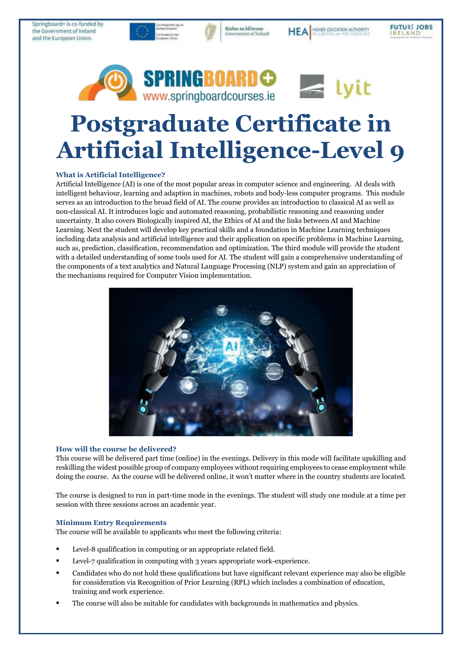Springboard+ is co-funded by the Government of Ireland and the European Union.



Rialtas na hÉireann

Government of Ireland

**FUTURE JOBS** 

RELAND

HIGHER EDUCATION AUTHORITY

**HEA** 

# **Postgraduate Certificate in Artificial Intelligence-Level 9**

# **What is Artificial Intelligence?**

Artificial Intelligence (AI) is one of the most popular areas in computer science and engineering. AI deals with intelligent behaviour, learning and adaption in machines, robots and body-less computer programs. This module serves as an introduction to the broad field of AI. The course provides an introduction to classical AI as well as non-classical AI. It introduces logic and automated reasoning, probabilistic reasoning and reasoning under uncertainty. It also covers Biologically inspired AI, the Ethics of AI and the links between AI and Machine Learning. Next the student will develop key practical skills and a foundation in Machine Learning techniques including data analysis and artificial intelligence and their application on specific problems in Machine Learning, such as, prediction, classification, recommendation and optimization. The third module will provide the student with a detailed understanding of some tools used for AI. The student will gain a comprehensive understanding of the components of a text analytics and Natural Language Processing (NLP) system and gain an appreciation of the mechanisms required for Computer Vision implementation.



### **How will the course be delivered?**

This course will be delivered part time (online) in the evenings. Delivery in this mode will facilitate upskilling and reskilling the widest possible group of company employees without requiring employees to cease employment while doing the course. As the course will be delivered online, it won't matter where in the country students are located.

The course is designed to run in part-time mode in the evenings. The student will study one module at a time per session with three sessions across an academic year.

# **Minimum Entry Requirements**

The course will be available to applicants who meet the following criteria:

- Level-8 qualification in computing or an appropriate related field.
- Level-7 qualification in computing with 3 years appropriate work-experience.
- Candidates who do not hold these qualifications but have significant relevant experience may also be eligible for consideration via Recognition of Prior Learning (RPL) which includes a combination of education, training and work experience.
- The course will also be suitable for candidates with backgrounds in mathematics and physics.